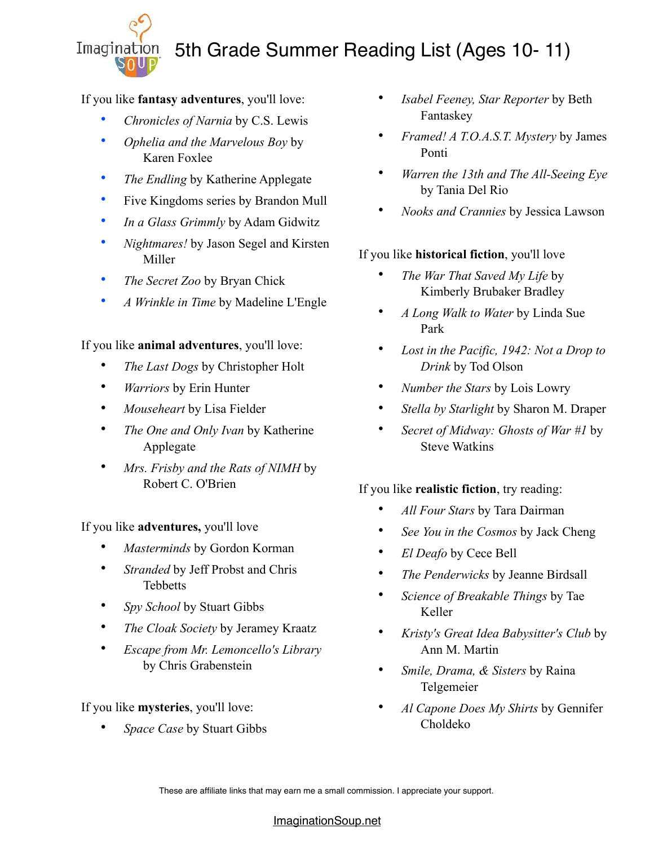

# 5th Grade Summer Reading List (Ages 10- 11)

If you like **fantasy adventures**, you'll love:

- *[Chronicles of Narnia](http://www.amazon.com/gp/product/0060598247/ref=as_li_tl?ie=UTF8&camp=1789&creative=390957&creativeASIN=0060598247&linkCode=as2&tag=melitaylonli-20&linkId=GSJBV4OTPHDBJSVY%22%20%5Ct%20%22_blank)* by C.S. Lewis
- *[Ophelia and the Marvelous Boy](http://www.amazon.com/gp/product/0385753543/ref=as_li_tl?ie=UTF8&camp=1789&creative=390957&creativeASIN=0385753543&linkCode=as2&tag=melitaylonli-20&linkId=WC5JIT7XOGZH7NPG%22%20%5Ct%20%22_blank)* by Karen Foxlee
- *[The Endling](https://amzn.to/2re043J%22%20%5Ct%20%22_blank)* by Katherine Applegate
- [Five Kingdoms](http://www.amazon.com/gp/product/1442497033/ref=as_li_tl?ie=UTF8&camp=1789&creative=390957&creativeASIN=1442497033&linkCode=as2&tag=melitaylonli-20&linkId=XEPGXCPIYYMRGGES%22%20%5Ct%20%22_blank) series by Brandon Mull
- *[In a Glass Grimmly](http://www.amazon.com/gp/product/0142425060/ref=as_li_ss_tl?ie=UTF8&camp=1789&creative=390957&creativeASIN=0142425060&linkCode=as2&tag=melitaylonli-20%22%20%5Ct%20%22_blank)* by Adam Gidwitz
- *[Nightmares!](http://www.amazon.com/gp/product/0385744250/ref=as_li_tl?ie=UTF8&camp=1789&creative=390957&creativeASIN=0385744250&linkCode=as2&tag=melitaylonli-20&linkId=ZXHE2UGY4DRPFFVR)* by Jason Segel and Kirsten Miller
- *[The Secret Zoo](http://www.amazon.com/gp/product/0061987514/ref=as_li_tl?ie=UTF8&camp=1789&creative=390957&creativeASIN=0061987514&linkCode=as2&tag=melitaylonli-20&linkId=DH2SX6XSQELLIXZA%22%20%5Ct%20%22_blank)* by Bryan Chick
- *[A Wrinkle in Time](http://amzn.to/1S7Ay9L%22%20%5Ct%20%22_blank)* by Madeline L'Engle

### If you like **animal adventures**, you'll love:

- *[The Last Dogs](http://www.amazon.com/gp/product/0316200042/ref=as_li_tf_tl?ie=UTF8&camp=1789&creative=9325&creativeASIN=0316200042&linkCode=as2&tag=melitaylonli-20%22%20%5Ct%20%22_blank)* by Christopher Holt
- *[Warriors](http://www.amazon.com/gp/product/0062367145/ref=as_li_tl?ie=UTF8&camp=1789&creative=390957&creativeASIN=0062367145&linkCode=as2&tag=melitaylonli-20&linkId=GXSTZS625JG4YRFW%22%20%5Ct%20%22_blank)* by Erin Hunter
- *[Mouseheart](http://www.amazon.com/gp/product/1442487836/ref=as_li_tl?ie=UTF8&camp=1789&creative=390957&creativeASIN=1442487836&linkCode=as2&tag=melitaylonli-20&linkId=DYAN7WDM57CRHPRF%22%20%5Ct%20%22_blank)* by Lisa Fielder
- *[The One and Only Ivan](http://www.amazon.com/gp/product/0061992259/ref=as_li_tf_tl?ie=UTF8&camp=1789&creative=9325&creativeASIN=0061992259&linkCode=as2&tag=melitaylonli-20%22%20%5Ct%20%22_blank)* by Katherine Applegate
- *[Mrs. Frisby and the Rats of NIMH](http://www.amazon.com/gp/product/0689710682/ref=as_li_tl?ie=UTF8&camp=1789&creative=390957&creativeASIN=0689710682&linkCode=as2&tag=melitaylonli-20&linkId=MDYSUVDMHXYTLSTU%22%20%5Ct%20%22_blank)* by Robert C. O'Brien

If you like **adventures,** you'll love

- *[Masterminds](http://amzn.to/1LYNSZy%22%20%5Ct%20%22_blank)* by Gordon Korman
- *[Stranded](http://www.amazon.com/gp/product/0142424242/ref=as_li_tl?ie=UTF8&camp=1789&creative=390957&creativeASIN=0142424242&linkCode=as2&tag=melitaylonli-20&linkId=WGWGSRWZRBWNZDEV%22%20%5Ct%20%22_blank)* by Jeff Probst and Chris Tebbetts
- *[Spy School](http://www.amazon.com/gp/product/1442421835/ref=as_li_tl?ie=UTF8&camp=1789&creative=390957&creativeASIN=1442421835&linkCode=as2&tag=melitaylonli-20&linkId=NLR37FEH4LHDB5L6%22%20%5Ct%20%22_blank)* by Stuart Gibbs
- *[The Cloak Society](http://www.amazon.com/gp/product/0062095471/ref=as_li_tf_tl?ie=UTF8&camp=1789&creative=9325&creativeASIN=0062095471&linkCode=as2&tag=melitaylonli-20%22%20%5Ct%20%22_blank)* by Jeramey Kraatz
- *[Escape from Mr. Lemoncello's Library](http://amzn.to/2980rFb%22%20%5Ct%20%22_blank)* by Chris Grabenstein

## If you like **mysteries**, you'll love:

• *[Space Case](https://amzn.to/2IesWma%22%20%5Ct%20%22_blank)* by Stuart Gibbs

- *[Isabel Feeney, Star Reporter](http://amzn.to/1VSSTVr%22%20%5Ct%20%22_blank)* by Beth Fantaskey
- *[Framed! A T.O.A.S.T. Mystery](http://amzn.to/2cClOyP%22%20%5Ct%20%22_blank)* by James Ponti
- *[Warren the 13th and The All-Seeing Eye](https://amzn.to/1lMwJHM%22%20%5Ct%20%22_blank)* by Tania Del Rio
- *[Nooks and Crannies](http://amzn.to/1dOUUBk%22%20%5Ct%20%22_blank)* by Jessica Lawson

# If you like **historical fiction**, you'll love

- *[The War That Saved My Life](http://www.amazon.com/gp/product/0803740816/ref=as_li_tl?ie=UTF8&camp=1789&creative=390957&creativeASIN=0803740816&linkCode=as2&tag=melitaylonli-20&linkId=FZYRZ6HP4ZGTHET2%22%20%5Ct%20%22_blank)* by Kimberly Brubaker Bradley
- *[A Long Walk to Water](http://www.amazon.com/gp/product/0547577311/ref=as_li_tl?ie=UTF8&camp=1789&creative=390957&creativeASIN=0547577311&linkCode=as2&tag=melitaylonli-20&linkId=XYFCSKGFMZYJE6XZ%22%20%5Ct%20%22_blank)* by Linda Sue Park
- *[Lost in the Pacific, 1942: Not a Drop to](http://amzn.to/2nEDJew%22%20%5Ct%20%22_blank)  [Drink](http://amzn.to/2nEDJew%22%20%5Ct%20%22_blank)* by Tod Olson
- *[Number the Stars](http://www.amazon.com/gp/product/0547577095/ref=as_li_tl?ie=UTF8&camp=1789&creative=390957&creativeASIN=0547577095&linkCode=as2&tag=melitaylonli-20&linkId=WHODAVOCK4XTOQZZ%22%20%5Ct%20%22_blank)* by Lois Lowry
- *[Stella by Starlight](http://www.amazon.com/gp/product/1442494972/ref=as_li_tl?ie=UTF8&camp=1789&creative=390957&creativeASIN=1442494972&linkCode=as2&tag=melitaylonli-20&linkId=DTWDQORONNMAPDEE%22%20%5Ct%20%22_blank)* by Sharon M. Draper
- *[Secret of Midway: Ghosts of War](http://amzn.to/28YdHN8%22%20%5Ct%20%22_blank) #1* by Steve Watkins

## If you like **realistic fiction**, try reading:

- *[All Four Stars](http://www.amazon.com/gp/product/0399162526/ref=as_li_tl?ie=UTF8&camp=1789&creative=390957&creativeASIN=0399162526&linkCode=as2&tag=melitaylonli-20&linkId=KUVEQKSX6ZV6QCEB%22%20%5Ct%20%22_blank)* by Tara Dairman
- *[See You in the Cosmos](https://alexa.design/2nz45Qp%22%20%5Ct%20%22_blank)* by Jack Cheng
- *[El Deafo](https://amzn.to/2wapc0b%22%20%5Ct%20%22_blank)* by Cece Bell
- *[The Penderwicks](http://www.amazon.com/s/?_encoding=UTF8&camp=1789&creative=390957&field-keywords=Penderwicks&linkCode=ur2&rh=n:283155,k:Penderwicks&tag=melitaylonli-20&url=search-alias=stripbooks%22%20%5Ct%20%22_blank)* by Jeanne Birdsall
- *[Science of Breakable Things](http://amzn.to/2oKVw3E%22%20%5Ct%20%22_blank)* by Tae Keller
- *[Kristy's Great Idea Babysitter's Club](http://amzn.to/1jbbrCc%22%20%5Ct%20%22_blank)* by Ann M. Martin
- *[Smile, Drama, & Sisters](http://www.amazon.com/gp/product/0545132061/ref=as_li_tl?ie=UTF8&camp=1789&creative=390957&creativeASIN=0545132061&linkCode=as2&tag=melitaylonli-20&linkId=ZP3XZDWATK3EKEUR)* by Raina Telgemeier
- *[Al Capone Does My Shirts](http://amzn.to/2povV0Y%22%20%5Ct%20%22_blank)* by Gennifer Choldeko

These are affiliate links that may earn me a small commission. I appreciate your support.

#### [ImaginationSoup.net](http://imaginationsoup.net)